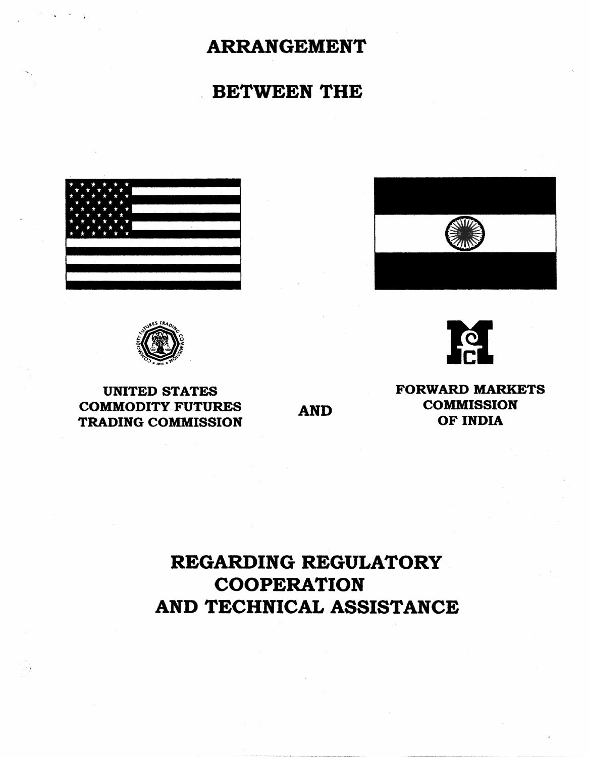## ARRANGEMENT

## . BETWEEN THE







UNITED STATES COMMODITY FUTURES TRADING COMMISSION

AND

FORWARD MARKETS **COMMISSION** OF INDIA

Iel

# REGARDING REGULATORY **COOPERATION** AND TECHNICAL ASSISTANCE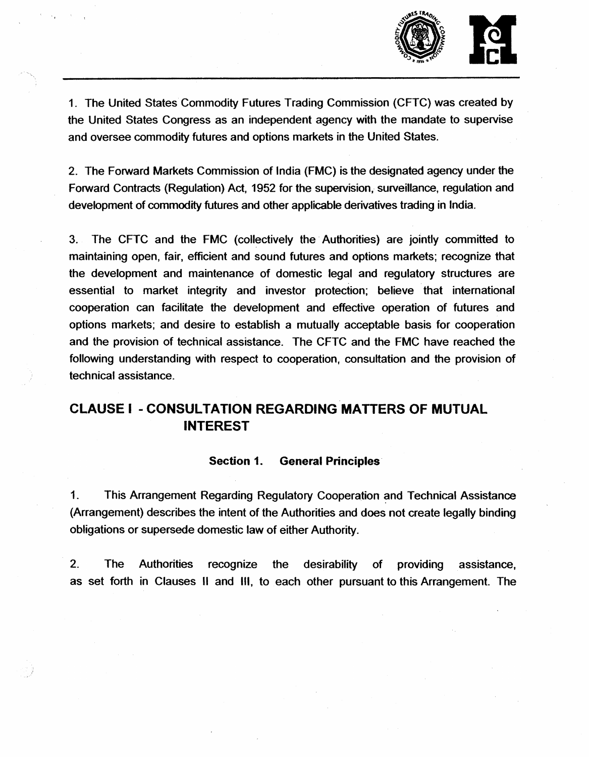

1. The United States Commodity Futures Trading Commission (CFTC) was created by the United States Congress as an independent agency with the mandate to supervise and oversee commodity futures and options markets in the United States.

2. The Forward Markets Commission of India (FMC) is the designated agency under the Forward Contracts (Regulation) Act, 1952 for the supervision, surveillance, regulation and development of commodity futures and other applicable derivatives trading in India.

3. The CFTC and the FMC (collectively the Authorities) are jointly committed to maintaining open, fair, efficient and sound futures and options markets; recognize that the development and maintenance of domestic legal and regulatory structures are essential to market integrity and investor protection; believe that international cooperation can facilitate the development and effective operation of futures and options markets; and desire to establish a mutually acceptable basis for cooperation and the provision of technical assistance. The CFTC and the FMC have reached the following understanding with respect to cooperation, consultation and the provision of technical assistance.

## CLAUSE I -CONSULTATION REGARDING MATTERS OF MUTUAL INTEREST

## Section 1. General Principles

1. This Arrangement Regarding Regulatory Cooperation and Technical Assistance (Arrangement} describes the intent of the Authorities and does not create legally binding obligations or supersede domestic law of either Authority.

2. The Authorities recognize the desirability of providing assistance, as set forth in Clauses II and Ill, to each other pursuant to this Arrangement. The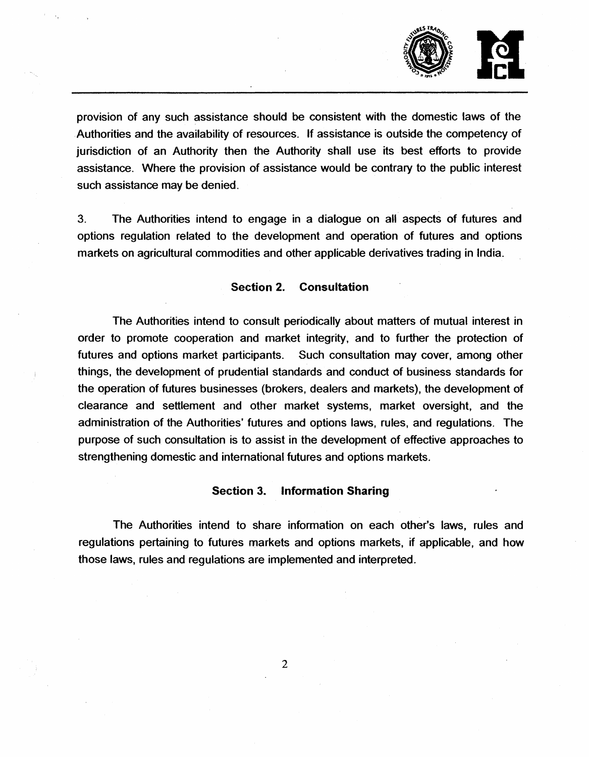

provision of any such assistance should be consistent with the domestic laws of the . Authorities and the availability of resources. If assistance is outside the competency of jurisdiction of an Authority then the Authority shall use its best efforts to provide assistance. Where the provision of assistance would be contrary to the public interest such assistance may be denied.

3. The Authorities intend to engage in a dialogue on all aspects of futures and options regulation related to the development and operation of futures and options markets on agricultural commodities and other applicable derivatives trading in India.

#### Section 2. Consultation

The Authorities intend to consult periodically about matters of mutual interest in order to promote cooperation and market integrity, and to further the protection of futures and options market participants. Such consultation may cover, among other things, the development of prudential standards and conduct of business standards for the operation of futures businesses (brokers, dealers and markets), the development of clearance and settlement and other market systems, market oversight, and the administration of the Authorities' futures and options laws, rules, and regulations. The purpose of such consultation is to assist in the development of effective approaches to strengthening domestic and international futures and options markets.

## Section 3. Information Sharing

The Authorities intend to share information on each other's laws, rules and regulations pertaining to futures markets and options markets, if applicable, and how those laws, rules and regulations are implemented and interpreted.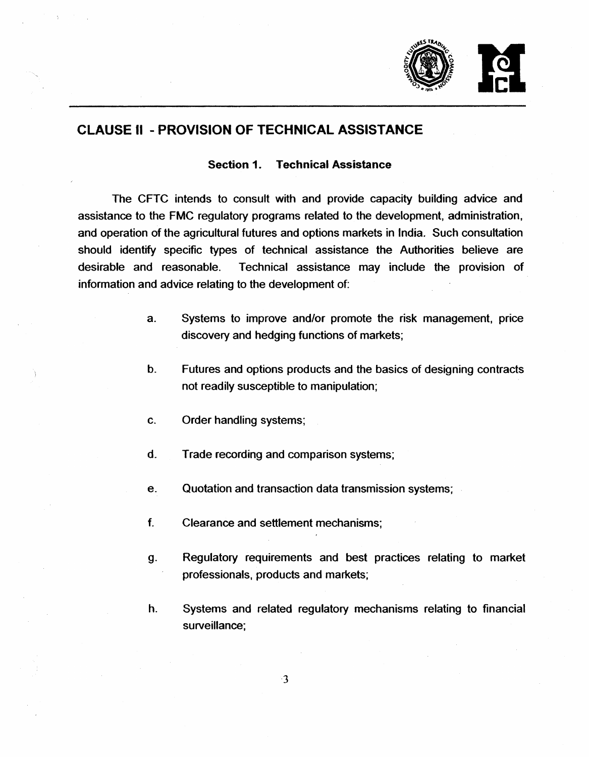

## CLAUSE II - PROVISION OF TECHNICAL ASSISTANCE

## Section 1. Technical Assistance

The CFTC intends to consult with and provide capacity building advice and assistance to the FMC regulatory programs related to the development, administration, and operation of the agricultural futures and options markets in India. Such consultation should identify specific types of technical assistance the Authorities believe are desirable and reasonable. Technical assistance may include the provision of information and advice relating to the development of:

- a. Systems to improve and/or promote the risk management, price discovery and hedging functions of markets;
- b. Futures and options products and the basics of designing contracts not readily susceptible to manipulation;
- c. Order handling systems;
- d. Trade recording and comparison systems;
- e. Quotation and transaction data transmission systems;
- f. Clearance and settlement mechanisms;
- g. Regulatory requirements and best practices relating to market professionals, products and markets;
- h. Systems and related regulatory mechanisms relating to financial surveillance;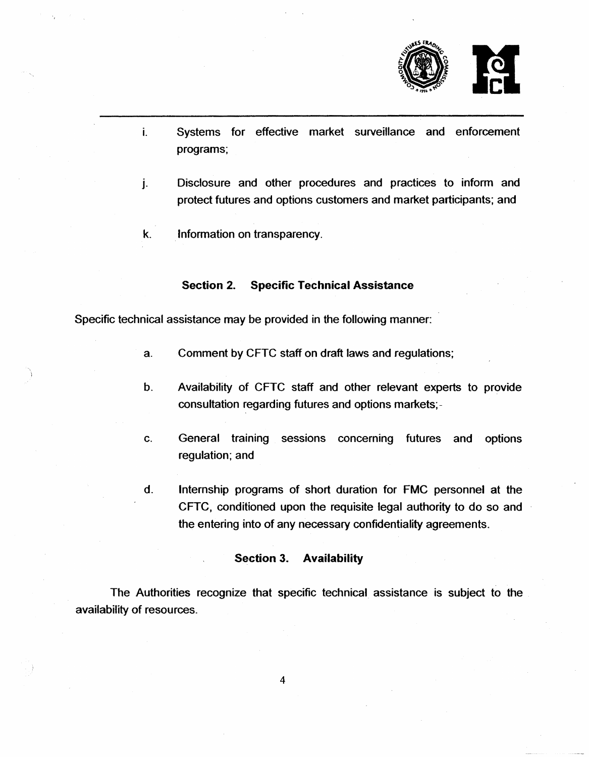

- i. Systems for effective market surveillance and enforcement programs;
- j. Disclosure and other procedures and practices to inform and protect futures and options customers and market participants; and
- k. **Information on transparency.**

## Section 2. Specific Technical Assistance

Specific technical assistance may be provided in the following manner:

- a. Comment by CFTC staff on draft laws and regulations;
- b. Availability of CFTC staff and other relevant experts to provide consultation regarding futures and options markets;-
- c. General training sessions concerning futures and options regulation; and
- d. Internship programs of short duration for FMC personnel at the CFTC, conditioned upon the requisite legal authority to do so and the entering into of any necessary confidentiality agreements.

## Section 3. Availability

The Authorities recognize that specific technical assistance is subject to the availability of resources.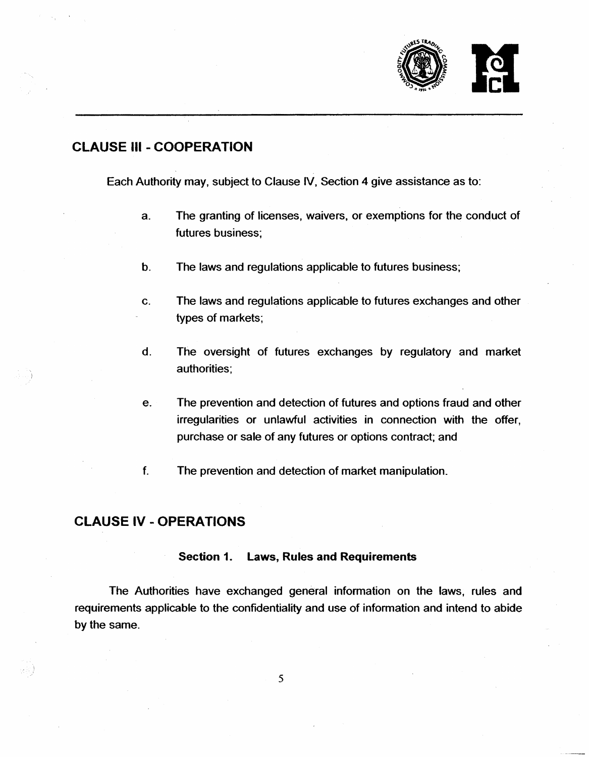

## CLAUSE Ill - COOPERATION

Each Authority may, subject to Clause IV, Section 4 give assistance as to:

- a. The granting of licenses, waivers, or exemptions for the conduct of futures business;
- b. The laws and regulations applicable to futures business;
- c. The laws and regulations applicable to futures exchanges and other types of markets;
- d. The oversight of futures exchanges by regulatory and market authorities:
- e. The prevention and detection of futures and options fraud and other irregularities or unlawful activities in connection with the offer, purchase or sale of any futures or options contract; and
- f. The prevention and detection of market manipulation.

## CLAUSE IV - OPERATIONS

## Section 1. Laws, Rules and Requirements

The Authorities have exchanged general information on the laws, rules and requirements applicable to the confidentiality and use of information and intend to abide by the same.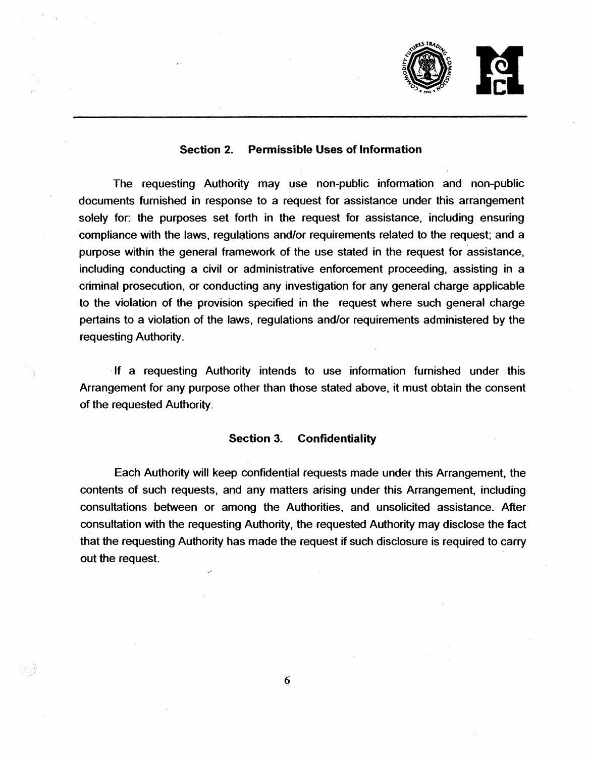

## Section 2. Permissible Uses of Information

The requesting Authority may use non-public information and non-public documents furnished in response to a request for assistance under this arrangement solely for: the purposes set forth in the request for assistance, including ensuring compliance with the laws, regulations and/or requirements related to the request; and a purpose within the general framework of the use stated in the request for assistance, including conducting a civil or administrative enforcement proceeding, assisting in a criminal prosecution, or conducting any investigation for any general charge applicable to the violation of the provision specified in the request where such general charge pertains to a violation of the laws, regulations and/or requirements administered by the requesting Authority.

, If a requesting Authority intends to use information furnished under this Arrangement for any purpose other than those stated above, it must obtain the consent of the requested Authority.

#### Section 3. Confidentiality

Each Authority will keep confidential requests made under this Arrangement, the contents of such requests, and any matters arising under this Arrangement, including consultations between or among the Authorities, and unsolicited assistance. After consultation with the requesting Authority, the requested Authority may disclose the fact that the requesting Authority has made the request if such disclosure is required to carry out the request.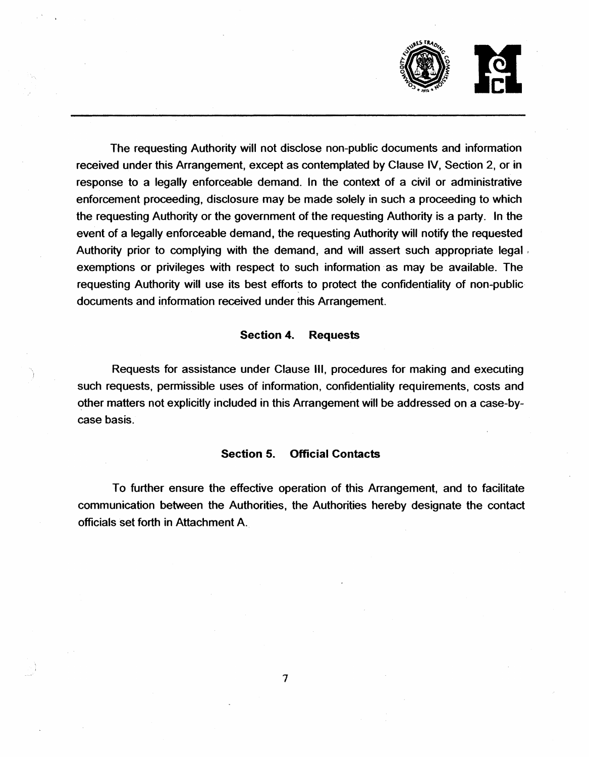

The requesting Authority will not disclose non-public documents and information received under this Arrangement, except as contemplated by Clause IV, Section 2, or in response to a legally enforceable demand. In the context of a civil or administrative enforcement proceeding, disclosure may be made solely in such a proceeding to which the requesting Authority or the government of the requesting Authority is a party. In the event of a legally enforceable demand, the requesting Authority will notify the requested Authority prior to complying with the demand, and will assert such appropriate legal, exemptions or privileges with respect to such information as may be available. The requesting Authority will use its best efforts to protect the confidentiality of non-public documents and information received under this Arrangement.

#### Section 4. Requests

Requests for assistance under Clause 111, procedures for making and executing such requests, permissible uses of information, confidentiality requirements, costs and other matters not explicitly included in this Arrangement will be addressed on a case-bycase basis.

#### Section 5. Official Contacts

To further ensure the effective operation of this Arrangement, and to facilitate communication between the Authorities, the Authorities hereby designate the contact officials set forth in Attachment A.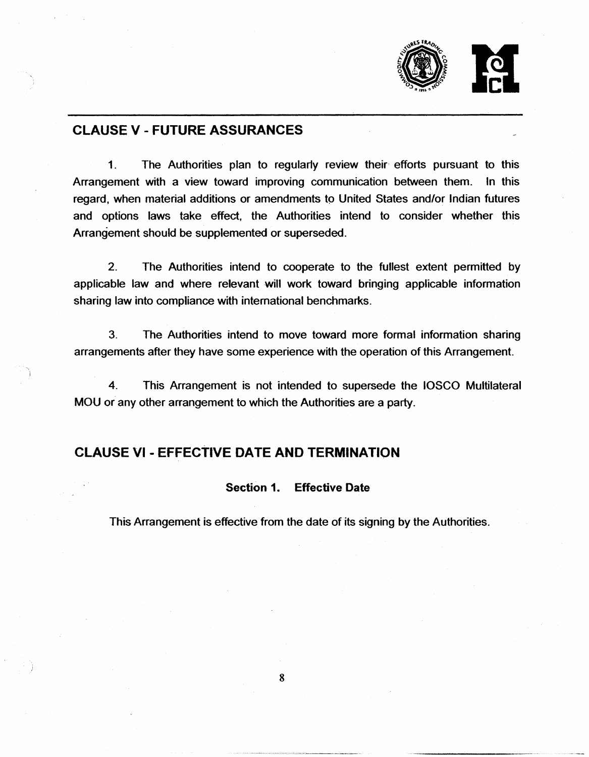

## CLAUSE V - FUTURE ASSURANCES

1. The Authorities plan to regularly review their· efforts pursuant to this Arrangement with a view toward improving communication between them. In this regard, when material additions or amendments to United States and/or Indian futures and options laws take effect, the Authorities intend to consider whether this Arrangement should be supplemented or superseded.

2. The Authorities intend to cooperate to the fullest extent permitted by applicable law and where relevant will work toward bringing applicable information sharing law into compliance with international benchmarks.

3. The Authorities intend to move toward more formal information sharing arrangements after they have some experience with the operation of this Arrangement.

4. This Arrangement is not intended to supersede the IOSCO Multilateral MOU or any other arrangement to which the Authorities are a party.

## CLAUSE VI - EFFECTIVE DATE AND TERMINATION

## Section 1. Effective Date

This Arrangement is effective from the date of its signing by the Authorities.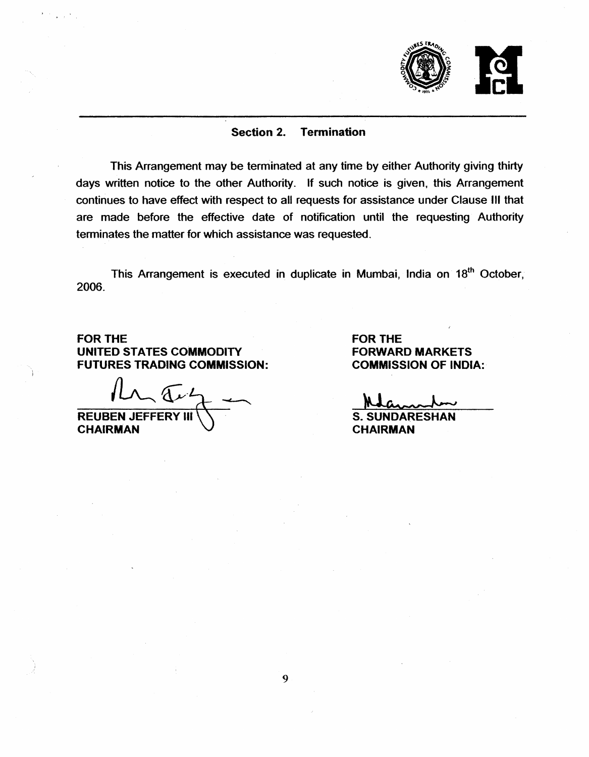

## Section 2. Termination

This Arrangement may be terminated at any time by either Authority giving thirty days written notice to the other Authority. If such notice is given, this Arrangement continues to have effect with respect to all requests for assistance under Clause Ill that are made before the effective date of notification until the requesting Authority terminates the matter for which assistance was requested.

This Arrangement is executed in duplicate in Mumbai, India on 18<sup>th</sup> October, 2006.

FOR THE UNITED STATES COMMODITY FUTURES TRADING COMMISSION:

 $ln \pi$ REUBEN JEFFERY Ill

**CHAIRMAN** 

FOR THE FORWARD MARKETS COMMISSION OF INDIA:

S. SUNDARESHAN CHAIRMAN